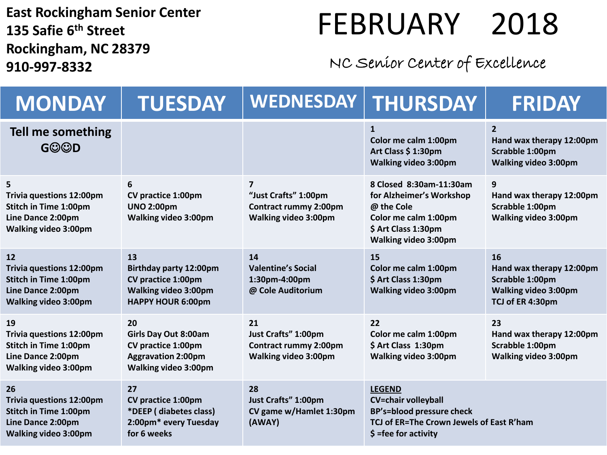**East Rockingham Senior Center 135 Safie 6 th Street Rockingham, NC 28379 910-997-8332**

## FEBRUARY 2018

## NC Senior Center of Excellence

| <b>MONDAY</b>                                                                                                             | <b>TUESDAY</b>                                                                                                              | <b>WEDNESDAY</b>                                                                         | THURSDAY                                                                                                                                              | FRIDAY                                                                                               |
|---------------------------------------------------------------------------------------------------------------------------|-----------------------------------------------------------------------------------------------------------------------------|------------------------------------------------------------------------------------------|-------------------------------------------------------------------------------------------------------------------------------------------------------|------------------------------------------------------------------------------------------------------|
| Tell me something<br><b>GOOD</b>                                                                                          |                                                                                                                             |                                                                                          | $\mathbf{1}$<br>Color me calm 1:00pm<br>Art Class \$1:30pm<br><b>Walking video 3:00pm</b>                                                             | $\overline{2}$<br>Hand wax therapy 12:00pm<br>Scrabble 1:00pm<br><b>Walking video 3:00pm</b>         |
| 5<br><b>Trivia questions 12:00pm</b><br><b>Stitch in Time 1:00pm</b><br>Line Dance 2:00pm<br><b>Walking video 3:00pm</b>  | 6<br>CV practice 1:00pm<br><b>UNO 2:00pm</b><br><b>Walking video 3:00pm</b>                                                 | 7<br>"Just Crafts" 1:00pm<br><b>Contract rummy 2:00pm</b><br><b>Walking video 3:00pm</b> | 8 Closed 8:30am-11:30am<br>for Alzheimer's Workshop<br>@ the Cole<br>Color me calm 1:00pm<br>\$ Art Class 1:30pm<br><b>Walking video 3:00pm</b>       | 9<br>Hand wax therapy 12:00pm<br>Scrabble 1:00pm<br><b>Walking video 3:00pm</b>                      |
| 12<br><b>Trivia questions 12:00pm</b><br><b>Stitch in Time 1:00pm</b><br>Line Dance 2:00pm<br><b>Walking video 3:00pm</b> | 13<br><b>Birthday party 12:00pm</b><br><b>CV practice 1:00pm</b><br><b>Walking video 3:00pm</b><br><b>HAPPY HOUR 6:00pm</b> | 14<br><b>Valentine's Social</b><br>1:30pm-4:00pm<br>@ Cole Auditorium                    | 15<br>Color me calm 1:00pm<br>\$ Art Class 1:30pm<br><b>Walking video 3:00pm</b>                                                                      | 16<br>Hand wax therapy 12:00pm<br>Scrabble 1:00pm<br><b>Walking video 3:00pm</b><br>TCJ of ER 4:30pm |
| 19<br><b>Trivia questions 12:00pm</b><br>Stitch in Time 1:00pm<br>Line Dance 2:00pm<br>Walking video 3:00pm               | 20<br><b>Girls Day Out 8:00am</b><br>CV practice 1:00pm<br><b>Aggravation 2:00pm</b><br><b>Walking video 3:00pm</b>         | 21<br>Just Crafts" 1:00pm<br><b>Contract rummy 2:00pm</b><br><b>Walking video 3:00pm</b> | 22<br>Color me calm 1:00pm<br>\$ Art Class 1:30pm<br><b>Walking video 3:00pm</b>                                                                      | 23<br>Hand wax therapy 12:00pm<br>Scrabble 1:00pm<br>Walking video 3:00pm                            |
| 26<br><b>Trivia questions 12:00pm</b><br><b>Stitch in Time 1:00pm</b><br>Line Dance 2:00pm<br><b>Walking video 3:00pm</b> | 27<br><b>CV</b> practice 1:00pm<br>*DEEP (diabetes class)<br>2:00pm* every Tuesday<br>for 6 weeks                           | 28<br>Just Crafts" 1:00pm<br>CV game w/Hamlet 1:30pm<br>(AWAY)                           | <b>LEGEND</b><br><b>CV=chair volleyball</b><br><b>BP's=blood pressure check</b><br>TCJ of ER=The Crown Jewels of East R'ham<br>$$ =$ fee for activity |                                                                                                      |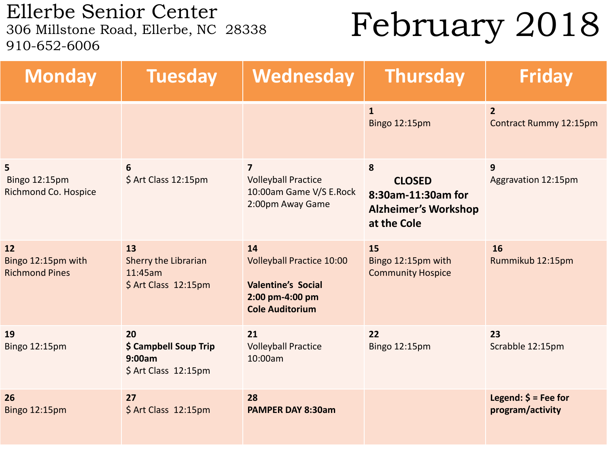Ellerbe Senior Center<br>306 Millstone Road, Ellerbe, NC 28338 910-652-6006

## February 2018

| <b>Monday</b>                                     | <b>Tuesday</b>                                                | Wednesday                                                                                                        | <b>Thursday</b>                                                                        | <b>Friday</b>                                 |
|---------------------------------------------------|---------------------------------------------------------------|------------------------------------------------------------------------------------------------------------------|----------------------------------------------------------------------------------------|-----------------------------------------------|
|                                                   |                                                               |                                                                                                                  | $\mathbf{1}$<br><b>Bingo 12:15pm</b>                                                   | $\overline{2}$<br>Contract Rummy 12:15pm      |
| 5<br><b>Bingo 12:15pm</b><br>Richmond Co. Hospice | 6<br>\$ Art Class 12:15pm                                     | $\overline{7}$<br><b>Volleyball Practice</b><br>10:00am Game V/S E.Rock<br>2:00pm Away Game                      | 8<br><b>CLOSED</b><br>8:30am-11:30am for<br><b>Alzheimer's Workshop</b><br>at the Cole | 9<br>Aggravation 12:15pm                      |
| 12<br>Bingo 12:15pm with<br><b>Richmond Pines</b> | 13<br>Sherry the Librarian<br>11:45am<br>\$ Art Class 12:15pm | 14<br><b>Volleyball Practice 10:00</b><br><b>Valentine's Social</b><br>2:00 pm-4:00 pm<br><b>Cole Auditorium</b> | 15<br>Bingo 12:15pm with<br><b>Community Hospice</b>                                   | 16<br>Rummikub 12:15pm                        |
| 19<br>Bingo 12:15pm                               | 20<br>\$ Campbell Soup Trip<br>9:00am<br>\$ Art Class 12:15pm | 21<br><b>Volleyball Practice</b><br>10:00am                                                                      | 22<br>Bingo 12:15pm                                                                    | 23<br>Scrabble 12:15pm                        |
| 26<br>Bingo 12:15pm                               | 27<br>\$ Art Class 12:15pm                                    | 28<br><b>PAMPER DAY 8:30am</b>                                                                                   |                                                                                        | Legend: $\zeta$ = Fee for<br>program/activity |